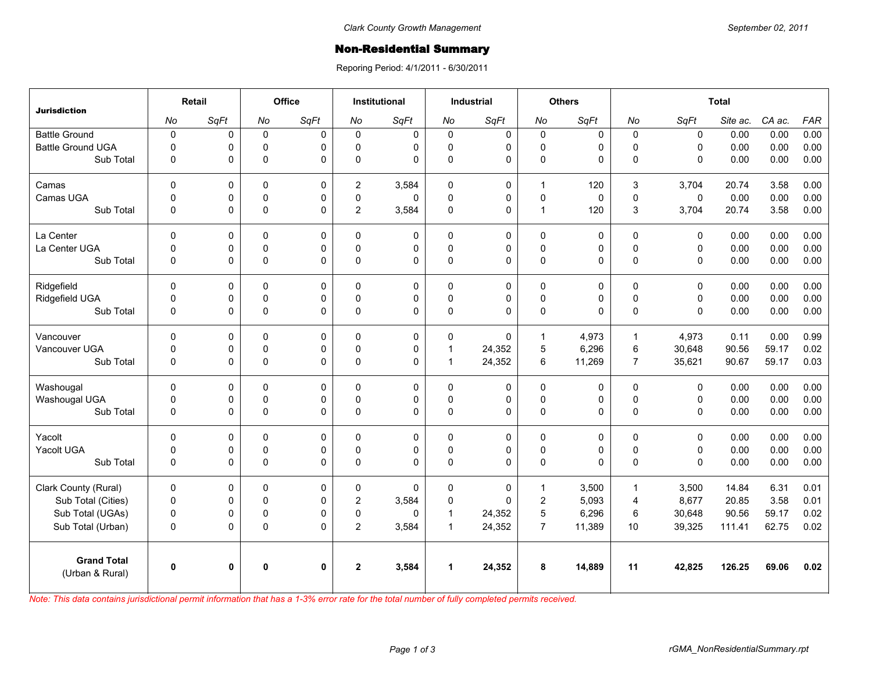## **Non-Residential Summary**

Reporing Period: 4/1/2011 - 6/30/2011

| <b>Jurisdiction</b>                   | Retail       |      | Office       |              | <b>Institutional</b> |             | <b>Industrial</b>    |              | <b>Others</b>    |        | <b>Total</b>   |              |          |        |            |
|---------------------------------------|--------------|------|--------------|--------------|----------------------|-------------|----------------------|--------------|------------------|--------|----------------|--------------|----------|--------|------------|
|                                       | No           | SqFt | No           | SqFt         | No                   | SqFt        | No                   | SqFt         | No               | SqFt   | No             | SqFt         | Site ac. | CA ac. | <b>FAR</b> |
| <b>Battle Ground</b>                  | $\pmb{0}$    | 0    | $\mathbf 0$  | 0            | $\mathbf 0$          | $\mathbf 0$ | $\mathbf 0$          | 0            | $\mathbf 0$      | 0      | $\mathbf 0$    | $\pmb{0}$    | 0.00     | 0.00   | 0.00       |
| <b>Battle Ground UGA</b>              | $\Omega$     | 0    | $\mathbf 0$  | $\Omega$     | $\Omega$             | 0           | $\mathbf 0$          | 0            | $\mathbf 0$      | 0      | $\Omega$       | $\mathbf{0}$ | 0.00     | 0.00   | 0.00       |
| Sub Total                             | 0            | 0    | $\mathbf 0$  | $\Omega$     | $\mathbf{0}$         | $\Omega$    | $\pmb{0}$            | 0            | $\pmb{0}$        | 0      | $\Omega$       | $\mathbf{0}$ | 0.00     | 0.00   | 0.00       |
| Camas                                 | $\Omega$     | 0    | $\mathbf 0$  | $\mathbf{0}$ | $\overline{c}$       | 3,584       | $\Omega$             | $\mathbf 0$  | 1                | 120    | 3              | 3.704        | 20.74    | 3.58   | 0.00       |
| Camas UGA                             | $\mathbf 0$  | 0    | $\mathsf 0$  | 0            | 0                    | 0           | $\pmb{0}$            | 0            | $\pmb{0}$        | 0      | $\pmb{0}$      | $\mathbf 0$  | 0.00     | 0.00   | 0.00       |
| Sub Total                             | 0            | 0    | $\pmb{0}$    | $\Omega$     | $\overline{2}$       | 3,584       | $\Omega$             | $\Omega$     | $\mathbf{1}$     | 120    | 3              | 3,704        | 20.74    | 3.58   | 0.00       |
| La Center                             | $\mathbf 0$  | 0    | $\mathbf 0$  | $\mathbf 0$  | $\Omega$             | $\mathbf 0$ | $\mathbf 0$          | 0            | $\pmb{0}$        | 0      | $\mathbf 0$    | $\mathbf 0$  | 0.00     | 0.00   | 0.00       |
| La Center UGA                         | 0            | 0    | $\mathbf 0$  | $\mathbf 0$  | $\Omega$             | 0           | $\mathbf 0$          | $\mathbf 0$  | $\mathbf 0$      | 0      | $\pmb{0}$      | $\mathbf 0$  | 0.00     | 0.00   | 0.00       |
| Sub Total                             | $\mathbf 0$  | 0    | $\pmb{0}$    | $\Omega$     | $\Omega$             | 0           | $\pmb{0}$            | 0            | $\pmb{0}$        | 0      | $\mathbf 0$    | $\mathbf{0}$ | 0.00     | 0.00   | 0.00       |
| Ridgefield                            | $\Omega$     | 0    | 0            | $\Omega$     | 0                    | 0           | $\Omega$             | $\mathbf 0$  | 0                | 0      | 0              | $\mathbf{0}$ | 0.00     | 0.00   | 0.00       |
| Ridgefield UGA                        | 0            | 0    | 0            | 0            | $\mathbf 0$          | 0           | $\mathsf 0$          | $\mathsf 0$  | $\mathsf 0$      | 0      | $\pmb{0}$      | $\mathbf 0$  | 0.00     | 0.00   | 0.00       |
| Sub Total                             | $\mathbf 0$  | 0    | $\pmb{0}$    | $\Omega$     | $\Omega$             | 0           | $\pmb{0}$            | $\mathbf{0}$ | $\pmb{0}$        | 0      | $\Omega$       | $\mathbf{0}$ | 0.00     | 0.00   | 0.00       |
| Vancouver                             | $\mathbf 0$  | 0    | $\Omega$     | $\Omega$     | $\Omega$             | 0           | $\Omega$             | $\Omega$     | $\mathbf{1}$     | 4.973  | $\mathbf{1}$   | 4,973        | 0.11     | 0.00   | 0.99       |
| Vancouver UGA                         | 0            | 0    | 0            | 0            | $\Omega$             | 0           | $\mathbf{1}$         | 24,352       | 5                | 6,296  | $\,6\,$        | 30,648       | 90.56    | 59.17  | 0.02       |
| Sub Total                             | $\mathbf 0$  | 0    | $\pmb{0}$    | $\mathbf 0$  | $\mathbf 0$          | $\mathbf 0$ | $\mathbf{1}$         | 24,352       | $\,6\,$          | 11,269 | $\overline{7}$ | 35,621       | 90.67    | 59.17  | 0.03       |
| Washougal                             | $\mathbf 0$  | 0    | 0            | 0            | 0                    | 0           | $\pmb{0}$            | $\mathbf 0$  | 0                | 0      | $\pmb{0}$      | $\mathbf 0$  | 0.00     | 0.00   | 0.00       |
| Washougal UGA                         | 0            | 0    | $\mathbf 0$  | $\Omega$     | $\mathbf{0}$         | 0           | $\pmb{0}$            | 0            | $\pmb{0}$        | 0      | $\pmb{0}$      | $\mathbf 0$  | 0.00     | 0.00   | 0.00       |
| Sub Total                             | 0            | 0    | $\pmb{0}$    | $\Omega$     | $\mathbf 0$          | 0           | $\pmb{0}$            | $\Omega$     | $\pmb{0}$        | 0      | $\pmb{0}$      | $\mathbf 0$  | 0.00     | 0.00   | 0.00       |
| Yacolt                                | $\Omega$     | 0    | $\mathbf 0$  | $\Omega$     | $\Omega$             | 0           | 0                    | 0            | $\mathbf 0$      | 0      | $\mathbf 0$    | $\mathbf{0}$ | 0.00     | 0.00   | 0.00       |
| Yacolt UGA                            | 0            | 0    | 0            | 0            | 0                    | 0           | 0                    | 0            | $\mathsf 0$      | 0      | $\pmb{0}$      | $\pmb{0}$    | 0.00     | 0.00   | 0.00       |
| Sub Total                             | $\mathbf 0$  | 0    | $\Omega$     | $\Omega$     | $\Omega$             | $\Omega$    | $\Omega$             | $\Omega$     | $\pmb{0}$        | 0      | $\Omega$       | $\mathbf{0}$ | 0.00     | 0.00   | 0.00       |
| Clark County (Rural)                  | $\mathbf 0$  | 0    | $\mathbf 0$  | 0            | 0                    | 0           | $\mathbf 0$          | 0            | $\mathbf{1}$     | 3,500  | $\mathbf{1}$   | 3,500        | 14.84    | 6.31   | 0.01       |
| Sub Total (Cities)                    | $\mathbf 0$  | 0    | $\mathbf 0$  | $\Omega$     | $\overline{c}$       | 3,584       | 0                    | $\Omega$     | $\boldsymbol{2}$ | 5,093  | $\overline{4}$ | 8,677        | 20.85    | 3.58   | 0.01       |
| Sub Total (UGAs)                      | $\pmb{0}$    | 0    | 0            | 0            | 0                    | 0           | 1                    | 24,352       | 5                | 6,296  | 6              | 30,648       | 90.56    | 59.17  | 0.02       |
| Sub Total (Urban)                     | 0            | 0    | $\pmb{0}$    | $\Omega$     | $\overline{2}$       | 3,584       | $\mathbf{1}$         | 24,352       | $\overline{7}$   | 11,389 | 10             | 39,325       | 111.41   | 62.75  | 0.02       |
| <b>Grand Total</b><br>(Urban & Rural) | $\mathbf{0}$ | 0    | $\mathbf{0}$ | $\mathbf{0}$ | $\overline{2}$       | 3,584       | $\blacktriangleleft$ | 24,352       | 8                | 14,889 | 11             | 42,825       | 126.25   | 69.06  | 0.02       |
|                                       |              |      |              |              |                      |             |                      |              |                  |        |                |              |          |        |            |

*Note: This data contains jurisdictional permit information that has a 1-3% error rate for the total number of fully completed permits received.*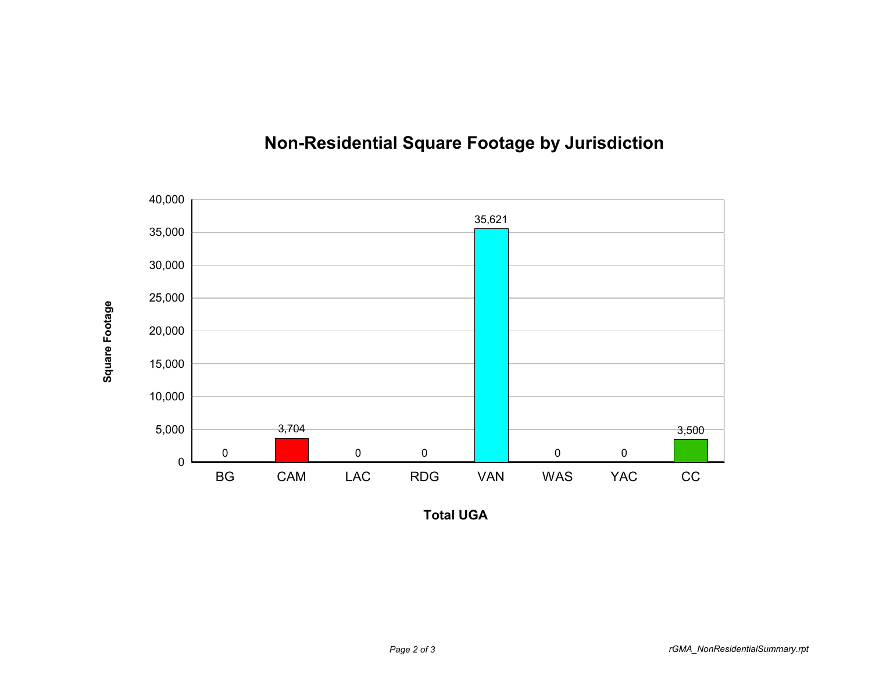

## **Non-Residential Square Footage by Jurisdiction**

**Total UGA**